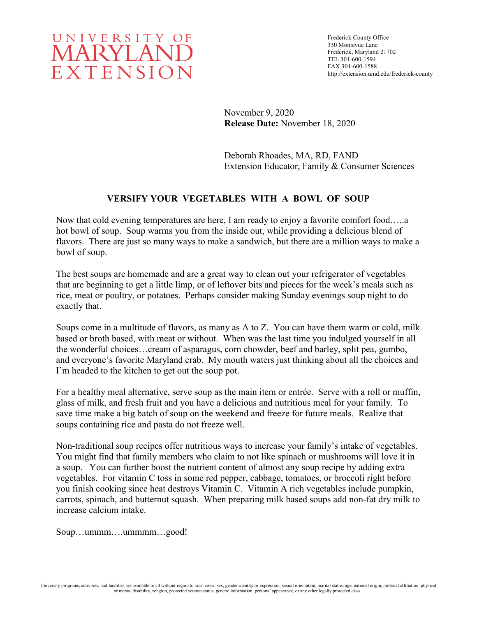

November 9, 2020 **Release Date:** November 18, 2020

Deborah Rhoades, MA, RD, FAND Extension Educator, Family & Consumer Sciences

## **VERSIFY YOUR VEGETABLES WITH A BOWL OF SOUP**

Now that cold evening temperatures are here, I am ready to enjoy a favorite comfort food…..a hot bowl of soup. Soup warms you from the inside out, while providing a delicious blend of flavors. There are just so many ways to make a sandwich, but there are a million ways to make a bowl of soup.

The best soups are homemade and are a great way to clean out your refrigerator of vegetables that are beginning to get a little limp, or of leftover bits and pieces for the week's meals such as rice, meat or poultry, or potatoes. Perhaps consider making Sunday evenings soup night to do exactly that.

Soups come in a multitude of flavors, as many as A to Z. You can have them warm or cold, milk based or broth based, with meat or without. When was the last time you indulged yourself in all the wonderful choices…cream of asparagus, corn chowder, beef and barley, split pea, gumbo, and everyone's favorite Maryland crab. My mouth waters just thinking about all the choices and I'm headed to the kitchen to get out the soup pot.

For a healthy meal alternative, serve soup as the main item or entrée. Serve with a roll or muffin, glass of milk, and fresh fruit and you have a delicious and nutritious meal for your family. To save time make a big batch of soup on the weekend and freeze for future meals. Realize that soups containing rice and pasta do not freeze well.

Non-traditional soup recipes offer nutritious ways to increase your family's intake of vegetables. You might find that family members who claim to not like spinach or mushrooms will love it in a soup. You can further boost the nutrient content of almost any soup recipe by adding extra vegetables. For vitamin C toss in some red pepper, cabbage, tomatoes, or broccoli right before you finish cooking since heat destroys Vitamin C. Vitamin A rich vegetables include pumpkin, carrots, spinach, and butternut squash. When preparing milk based soups add non-fat dry milk to increase calcium intake.

Soup…ummm….ummmm…good!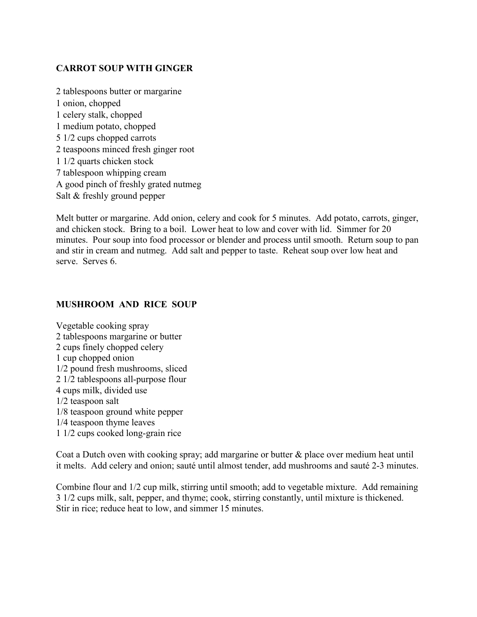## **CARROT SOUP WITH GINGER**

2 tablespoons butter or margarine 1 onion, chopped 1 celery stalk, chopped 1 medium potato, chopped 5 1/2 cups chopped carrots 2 teaspoons minced fresh ginger root 1 1/2 quarts chicken stock 7 tablespoon whipping cream A good pinch of freshly grated nutmeg Salt & freshly ground pepper

Melt butter or margarine. Add onion, celery and cook for 5 minutes. Add potato, carrots, ginger, and chicken stock. Bring to a boil. Lower heat to low and cover with lid. Simmer for 20 minutes. Pour soup into food processor or blender and process until smooth. Return soup to pan and stir in cream and nutmeg. Add salt and pepper to taste. Reheat soup over low heat and serve. Serves 6.

#### **MUSHROOM AND RICE SOUP**

Vegetable cooking spray 2 tablespoons margarine or butter 2 cups finely chopped celery 1 cup chopped onion 1/2 pound fresh mushrooms, sliced 2 1/2 tablespoons all-purpose flour 4 cups milk, divided use 1/2 teaspoon salt 1/8 teaspoon ground white pepper 1/4 teaspoon thyme leaves 1 1/2 cups cooked long-grain rice

Coat a Dutch oven with cooking spray; add margarine or butter & place over medium heat until it melts. Add celery and onion; sauté until almost tender, add mushrooms and sauté 2-3 minutes.

Combine flour and 1/2 cup milk, stirring until smooth; add to vegetable mixture. Add remaining 3 1/2 cups milk, salt, pepper, and thyme; cook, stirring constantly, until mixture is thickened. Stir in rice; reduce heat to low, and simmer 15 minutes.